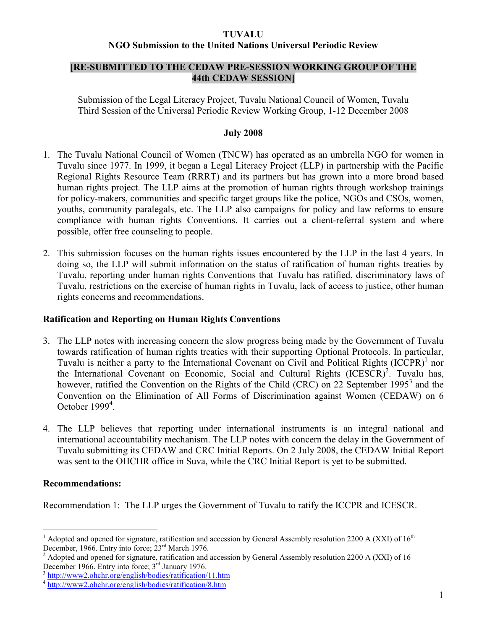#### TUVALU

### NGO Submission to the United Nations Universal Periodic Review

### [RE-SUBMITTED TO THE CEDAW PRE-SESSION WORKING GROUP OF THE 44th CEDAW SESSION]

Submission of the Legal Literacy Project, Tuvalu National Council of Women, Tuvalu Third Session of the Universal Periodic Review Working Group, 1-12 December 2008

#### July 2008

- 1. The Tuvalu National Council of Women (TNCW) has operated as an umbrella NGO for women in Tuvalu since 1977. In 1999, it began a Legal Literacy Project (LLP) in partnership with the Pacific Regional Rights Resource Team (RRRT) and its partners but has grown into a more broad based human rights project. The LLP aims at the promotion of human rights through workshop trainings for policy-makers, communities and specific target groups like the police, NGOs and CSOs, women, youths, community paralegals, etc. The LLP also campaigns for policy and law reforms to ensure compliance with human rights Conventions. It carries out a client-referral system and where possible, offer free counseling to people.
- 2. This submission focuses on the human rights issues encountered by the LLP in the last 4 years. In doing so, the LLP will submit information on the status of ratification of human rights treaties by Tuvalu, reporting under human rights Conventions that Tuvalu has ratified, discriminatory laws of Tuvalu, restrictions on the exercise of human rights in Tuvalu, lack of access to justice, other human rights concerns and recommendations.

#### Ratification and Reporting on Human Rights Conventions

- 3. The LLP notes with increasing concern the slow progress being made by the Government of Tuvalu towards ratification of human rights treaties with their supporting Optional Protocols. In particular, Tuvalu is neither a party to the International Covenant on Civil and Political Rights (ICCPR)<sup>1</sup> nor the International Covenant on Economic, Social and Cultural Rights (ICESCR)<sup>2</sup>. Tuvalu has, however, ratified the Convention on the Rights of the Child (CRC) on 22 September 1995<sup>3</sup> and the Convention on the Elimination of All Forms of Discrimination against Women (CEDAW) on 6 October  $1999<sup>4</sup>$ .
- 4. The LLP believes that reporting under international instruments is an integral national and international accountability mechanism. The LLP notes with concern the delay in the Government of Tuvalu submitting its CEDAW and CRC Initial Reports. On 2 July 2008, the CEDAW Initial Report was sent to the OHCHR office in Suva, while the CRC Initial Report is yet to be submitted.

#### Recommendations:

 $\overline{a}$ 

Recommendation 1: The LLP urges the Government of Tuvalu to ratify the ICCPR and ICESCR.

<sup>1</sup> Adopted and opened for signature, ratification and accession by General Assembly resolution 2200 A (XXI) of  $16<sup>th</sup>$ December, 1966. Entry into force; 23<sup>rd</sup> March 1976.

<sup>&</sup>lt;sup>2</sup> Adopted and opened for signature, ratification and accession by General Assembly resolution 2200 A (XXI) of 16 December 1966. Entry into force; 3<sup>rd</sup> January 1976.

<sup>3</sup> http://www2.ohchr.org/english/bodies/ratification/11.htm

<sup>4</sup> http://www2.ohchr.org/english/bodies/ratification/8.htm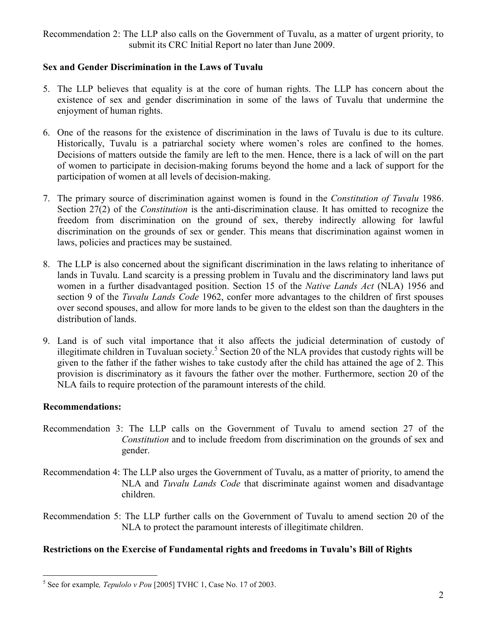Recommendation 2: The LLP also calls on the Government of Tuvalu, as a matter of urgent priority, to submit its CRC Initial Report no later than June 2009.

# Sex and Gender Discrimination in the Laws of Tuvalu

- 5. The LLP believes that equality is at the core of human rights. The LLP has concern about the existence of sex and gender discrimination in some of the laws of Tuvalu that undermine the enjoyment of human rights.
- 6. One of the reasons for the existence of discrimination in the laws of Tuvalu is due to its culture. Historically, Tuvalu is a patriarchal society where women's roles are confined to the homes. Decisions of matters outside the family are left to the men. Hence, there is a lack of will on the part of women to participate in decision-making forums beyond the home and a lack of support for the participation of women at all levels of decision-making.
- 7. The primary source of discrimination against women is found in the Constitution of Tuvalu 1986. Section 27(2) of the *Constitution* is the anti-discrimination clause. It has omitted to recognize the freedom from discrimination on the ground of sex, thereby indirectly allowing for lawful discrimination on the grounds of sex or gender. This means that discrimination against women in laws, policies and practices may be sustained.
- 8. The LLP is also concerned about the significant discrimination in the laws relating to inheritance of lands in Tuvalu. Land scarcity is a pressing problem in Tuvalu and the discriminatory land laws put women in a further disadvantaged position. Section 15 of the Native Lands Act (NLA) 1956 and section 9 of the Tuvalu Lands Code 1962, confer more advantages to the children of first spouses over second spouses, and allow for more lands to be given to the eldest son than the daughters in the distribution of lands.
- 9. Land is of such vital importance that it also affects the judicial determination of custody of illegitimate children in Tuvaluan society.<sup>5</sup> Section 20 of the NLA provides that custody rights will be given to the father if the father wishes to take custody after the child has attained the age of 2. This provision is discriminatory as it favours the father over the mother. Furthermore, section 20 of the NLA fails to require protection of the paramount interests of the child.

# Recommendations:

- Recommendation 3: The LLP calls on the Government of Tuvalu to amend section 27 of the Constitution and to include freedom from discrimination on the grounds of sex and gender.
- Recommendation 4: The LLP also urges the Government of Tuvalu, as a matter of priority, to amend the NLA and Tuvalu Lands Code that discriminate against women and disadvantage children.
- Recommendation 5: The LLP further calls on the Government of Tuvalu to amend section 20 of the NLA to protect the paramount interests of illegitimate children.

# Restrictions on the Exercise of Fundamental rights and freedoms in Tuvalu's Bill of Rights

 $\overline{a}$  $<sup>5</sup>$  See for example, *Tepulolo v Pou* [2005] TVHC 1, Case No. 17 of 2003.</sup>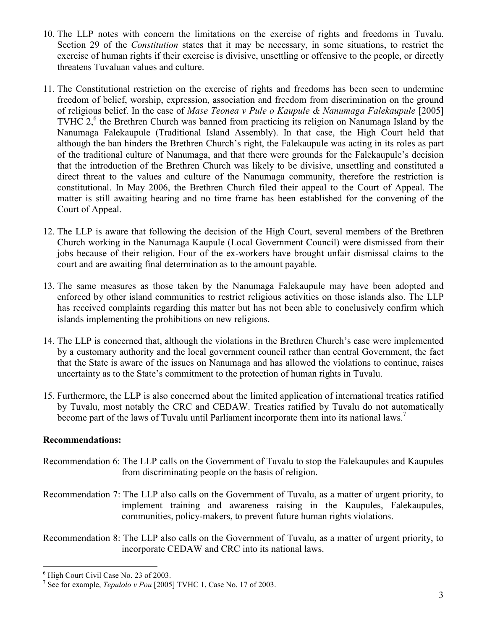- 10. The LLP notes with concern the limitations on the exercise of rights and freedoms in Tuvalu. Section 29 of the *Constitution* states that it may be necessary, in some situations, to restrict the exercise of human rights if their exercise is divisive, unsettling or offensive to the people, or directly threatens Tuvaluan values and culture.
- 11. The Constitutional restriction on the exercise of rights and freedoms has been seen to undermine freedom of belief, worship, expression, association and freedom from discrimination on the ground of religious belief. In the case of Mase Teonea v Pule o Kaupule & Nanumaga Falekaupule [2005] TVHC  $2<sup>6</sup>$ , the Brethren Church was banned from practicing its religion on Nanumaga Island by the Nanumaga Falekaupule (Traditional Island Assembly). In that case, the High Court held that although the ban hinders the Brethren Church's right, the Falekaupule was acting in its roles as part of the traditional culture of Nanumaga, and that there were grounds for the Falekaupule's decision that the introduction of the Brethren Church was likely to be divisive, unsettling and constituted a direct threat to the values and culture of the Nanumaga community, therefore the restriction is constitutional. In May 2006, the Brethren Church filed their appeal to the Court of Appeal. The matter is still awaiting hearing and no time frame has been established for the convening of the Court of Appeal.
- 12. The LLP is aware that following the decision of the High Court, several members of the Brethren Church working in the Nanumaga Kaupule (Local Government Council) were dismissed from their jobs because of their religion. Four of the ex-workers have brought unfair dismissal claims to the court and are awaiting final determination as to the amount payable.
- 13. The same measures as those taken by the Nanumaga Falekaupule may have been adopted and enforced by other island communities to restrict religious activities on those islands also. The LLP has received complaints regarding this matter but has not been able to conclusively confirm which islands implementing the prohibitions on new religions.
- 14. The LLP is concerned that, although the violations in the Brethren Church's case were implemented by a customary authority and the local government council rather than central Government, the fact that the State is aware of the issues on Nanumaga and has allowed the violations to continue, raises uncertainty as to the State's commitment to the protection of human rights in Tuvalu.
- 15. Furthermore, the LLP is also concerned about the limited application of international treaties ratified by Tuvalu, most notably the CRC and CEDAW. Treaties ratified by Tuvalu do not automatically become part of the laws of Tuvalu until Parliament incorporate them into its national laws.<sup>7</sup>

# Recommendations:

- Recommendation 6: The LLP calls on the Government of Tuvalu to stop the Falekaupules and Kaupules from discriminating people on the basis of religion.
- Recommendation 7: The LLP also calls on the Government of Tuvalu, as a matter of urgent priority, to implement training and awareness raising in the Kaupules, Falekaupules, communities, policy-makers, to prevent future human rights violations.

Recommendation 8: The LLP also calls on the Government of Tuvalu, as a matter of urgent priority, to incorporate CEDAW and CRC into its national laws.

 $\overline{a}$ <sup>6</sup> High Court Civil Case No. 23 of 2003.

<sup>&</sup>lt;sup>7</sup> See for example, *Tepulolo v Pou* [2005] TVHC 1, Case No. 17 of 2003.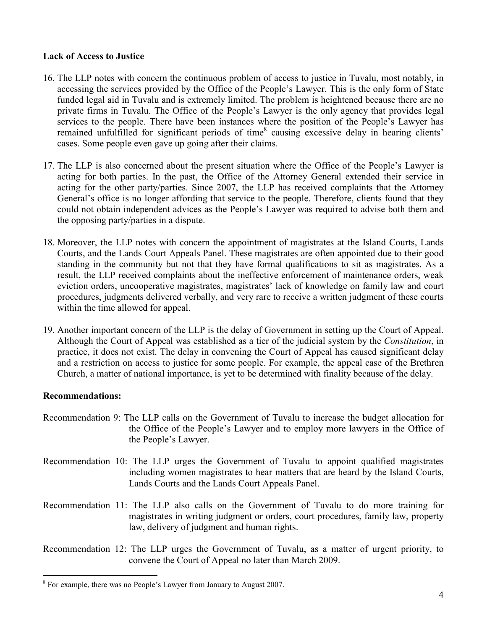### Lack of Access to Justice

- 16. The LLP notes with concern the continuous problem of access to justice in Tuvalu, most notably, in accessing the services provided by the Office of the People's Lawyer. This is the only form of State funded legal aid in Tuvalu and is extremely limited. The problem is heightened because there are no private firms in Tuvalu. The Office of the People's Lawyer is the only agency that provides legal services to the people. There have been instances where the position of the People's Lawyer has remained unfulfilled for significant periods of time<sup>8</sup> causing excessive delay in hearing clients' cases. Some people even gave up going after their claims.
- 17. The LLP is also concerned about the present situation where the Office of the People's Lawyer is acting for both parties. In the past, the Office of the Attorney General extended their service in acting for the other party/parties. Since 2007, the LLP has received complaints that the Attorney General's office is no longer affording that service to the people. Therefore, clients found that they could not obtain independent advices as the People's Lawyer was required to advise both them and the opposing party/parties in a dispute.
- 18. Moreover, the LLP notes with concern the appointment of magistrates at the Island Courts, Lands Courts, and the Lands Court Appeals Panel. These magistrates are often appointed due to their good standing in the community but not that they have formal qualifications to sit as magistrates. As a result, the LLP received complaints about the ineffective enforcement of maintenance orders, weak eviction orders, uncooperative magistrates, magistrates' lack of knowledge on family law and court procedures, judgments delivered verbally, and very rare to receive a written judgment of these courts within the time allowed for appeal.
- 19. Another important concern of the LLP is the delay of Government in setting up the Court of Appeal. Although the Court of Appeal was established as a tier of the judicial system by the Constitution, in practice, it does not exist. The delay in convening the Court of Appeal has caused significant delay and a restriction on access to justice for some people. For example, the appeal case of the Brethren Church, a matter of national importance, is yet to be determined with finality because of the delay.

#### Recommendations:

 $\overline{a}$ 

- Recommendation 9: The LLP calls on the Government of Tuvalu to increase the budget allocation for the Office of the People's Lawyer and to employ more lawyers in the Office of the People's Lawyer.
- Recommendation 10: The LLP urges the Government of Tuvalu to appoint qualified magistrates including women magistrates to hear matters that are heard by the Island Courts, Lands Courts and the Lands Court Appeals Panel.
- Recommendation 11: The LLP also calls on the Government of Tuvalu to do more training for magistrates in writing judgment or orders, court procedures, family law, property law, delivery of judgment and human rights.
- Recommendation 12: The LLP urges the Government of Tuvalu, as a matter of urgent priority, to convene the Court of Appeal no later than March 2009.

<sup>&</sup>lt;sup>8</sup> For example, there was no People's Lawyer from January to August 2007.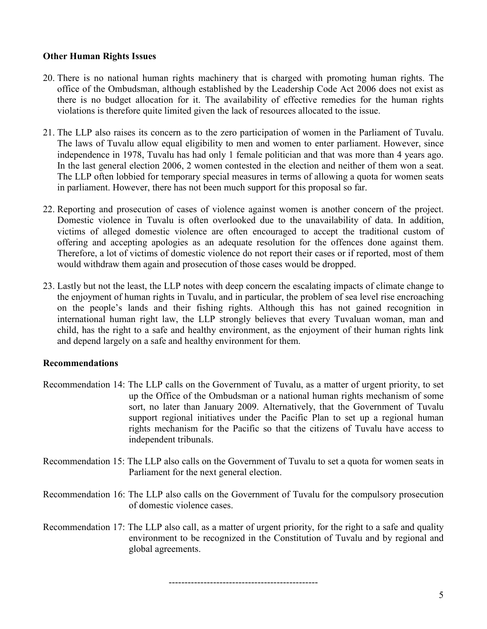# Other Human Rights Issues

- 20. There is no national human rights machinery that is charged with promoting human rights. The office of the Ombudsman, although established by the Leadership Code Act 2006 does not exist as there is no budget allocation for it. The availability of effective remedies for the human rights violations is therefore quite limited given the lack of resources allocated to the issue.
- 21. The LLP also raises its concern as to the zero participation of women in the Parliament of Tuvalu. The laws of Tuvalu allow equal eligibility to men and women to enter parliament. However, since independence in 1978, Tuvalu has had only 1 female politician and that was more than 4 years ago. In the last general election 2006, 2 women contested in the election and neither of them won a seat. The LLP often lobbied for temporary special measures in terms of allowing a quota for women seats in parliament. However, there has not been much support for this proposal so far.
- 22. Reporting and prosecution of cases of violence against women is another concern of the project. Domestic violence in Tuvalu is often overlooked due to the unavailability of data. In addition, victims of alleged domestic violence are often encouraged to accept the traditional custom of offering and accepting apologies as an adequate resolution for the offences done against them. Therefore, a lot of victims of domestic violence do not report their cases or if reported, most of them would withdraw them again and prosecution of those cases would be dropped.
- 23. Lastly but not the least, the LLP notes with deep concern the escalating impacts of climate change to the enjoyment of human rights in Tuvalu, and in particular, the problem of sea level rise encroaching on the people's lands and their fishing rights. Although this has not gained recognition in international human right law, the LLP strongly believes that every Tuvaluan woman, man and child, has the right to a safe and healthy environment, as the enjoyment of their human rights link and depend largely on a safe and healthy environment for them.

# Recommendations

- Recommendation 14: The LLP calls on the Government of Tuvalu, as a matter of urgent priority, to set up the Office of the Ombudsman or a national human rights mechanism of some sort, no later than January 2009. Alternatively, that the Government of Tuvalu support regional initiatives under the Pacific Plan to set up a regional human rights mechanism for the Pacific so that the citizens of Tuvalu have access to independent tribunals.
- Recommendation 15: The LLP also calls on the Government of Tuvalu to set a quota for women seats in Parliament for the next general election.
- Recommendation 16: The LLP also calls on the Government of Tuvalu for the compulsory prosecution of domestic violence cases.
- Recommendation 17: The LLP also call, as a matter of urgent priority, for the right to a safe and quality environment to be recognized in the Constitution of Tuvalu and by regional and global agreements.

-----------------------------------------------